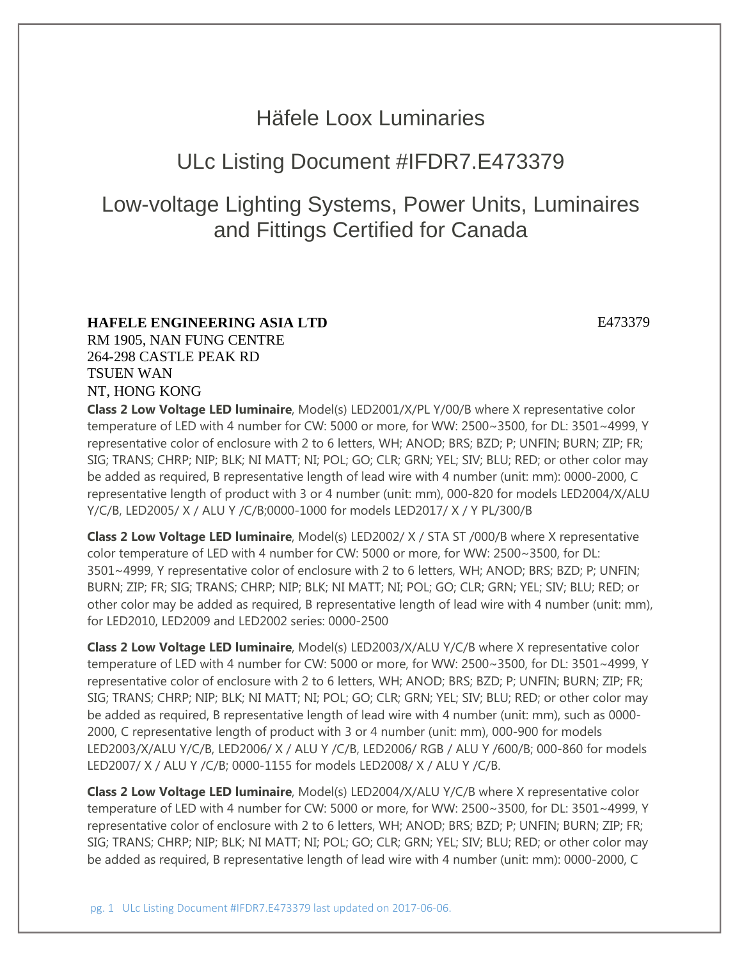## Häfele Loox Luminaries

## ULc Listing Document #IFDR7.E473379

# Low-voltage Lighting Systems, Power Units, Luminaires and Fittings Certified for Canada

## **HAFELE ENGINEERING ASIA LTD** E473379

RM 1905, NAN FUNG CENTRE 264-298 CASTLE PEAK RD TSUEN WAN NT, HONG KONG

**Class 2 Low Voltage LED luminaire**, Model(s) LED2001/X/PL Y/00/B where X representative color temperature of LED with 4 number for CW: 5000 or more, for WW: 2500~3500, for DL: 3501~4999, Y representative color of enclosure with 2 to 6 letters, WH; ANOD; BRS; BZD; P; UNFIN; BURN; ZIP; FR; SIG; TRANS; CHRP; NIP; BLK; NI MATT; NI; POL; GO; CLR; GRN; YEL; SIV; BLU; RED; or other color may be added as required, B representative length of lead wire with 4 number (unit: mm): 0000-2000, C representative length of product with 3 or 4 number (unit: mm), 000-820 for models LED2004/X/ALU Y/C/B, LED2005/ X / ALU Y /C/B;0000-1000 for models LED2017/ X / Y PL/300/B

**Class 2 Low Voltage LED luminaire**, Model(s) LED2002/ X / STA ST /000/B where X representative color temperature of LED with 4 number for CW: 5000 or more, for WW: 2500~3500, for DL: 3501~4999, Y representative color of enclosure with 2 to 6 letters, WH; ANOD; BRS; BZD; P; UNFIN; BURN; ZIP; FR; SIG; TRANS; CHRP; NIP; BLK; NI MATT; NI; POL; GO; CLR; GRN; YEL; SIV; BLU; RED; or other color may be added as required, B representative length of lead wire with 4 number (unit: mm), for LED2010, LED2009 and LED2002 series: 0000-2500

**Class 2 Low Voltage LED luminaire**, Model(s) LED2003/X/ALU Y/C/B where X representative color temperature of LED with 4 number for CW: 5000 or more, for WW: 2500~3500, for DL: 3501~4999, Y representative color of enclosure with 2 to 6 letters, WH; ANOD; BRS; BZD; P; UNFIN; BURN; ZIP; FR; SIG; TRANS; CHRP; NIP; BLK; NI MATT; NI; POL; GO; CLR; GRN; YEL; SIV; BLU; RED; or other color may be added as required, B representative length of lead wire with 4 number (unit: mm), such as 0000- 2000, C representative length of product with 3 or 4 number (unit: mm), 000-900 for models LED2003/X/ALU Y/C/B, LED2006/ X / ALU Y /C/B, LED2006/ RGB / ALU Y /600/B; 000-860 for models LED2007/ X / ALU Y /C/B; 0000-1155 for models LED2008/ X / ALU Y /C/B.

**Class 2 Low Voltage LED luminaire**, Model(s) LED2004/X/ALU Y/C/B where X representative color temperature of LED with 4 number for CW: 5000 or more, for WW: 2500~3500, for DL: 3501~4999, Y representative color of enclosure with 2 to 6 letters, WH; ANOD; BRS; BZD; P; UNFIN; BURN; ZIP; FR; SIG; TRANS; CHRP; NIP; BLK; NI MATT; NI; POL; GO; CLR; GRN; YEL; SIV; BLU; RED; or other color may be added as required, B representative length of lead wire with 4 number (unit: mm): 0000-2000, C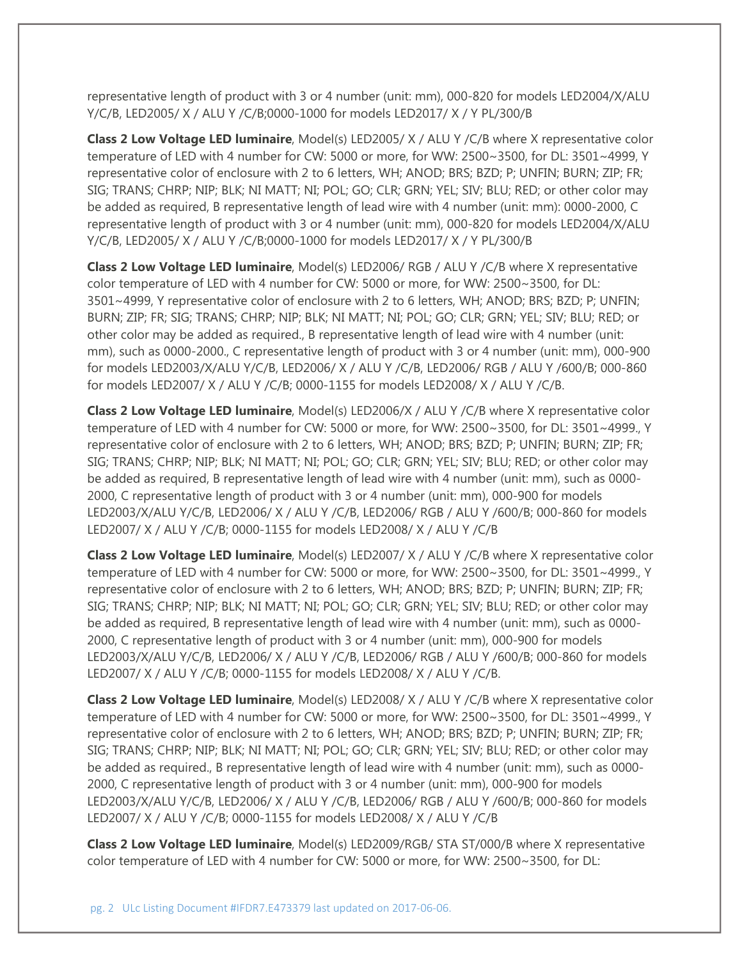representative length of product with 3 or 4 number (unit: mm), 000-820 for models LED2004/X/ALU Y/C/B, LED2005/ X / ALU Y /C/B;0000-1000 for models LED2017/ X / Y PL/300/B

**Class 2 Low Voltage LED luminaire**, Model(s) LED2005/ X / ALU Y /C/B where X representative color temperature of LED with 4 number for CW: 5000 or more, for WW: 2500~3500, for DL: 3501~4999, Y representative color of enclosure with 2 to 6 letters, WH; ANOD; BRS; BZD; P; UNFIN; BURN; ZIP; FR; SIG; TRANS; CHRP; NIP; BLK; NI MATT; NI; POL; GO; CLR; GRN; YEL; SIV; BLU; RED; or other color may be added as required, B representative length of lead wire with 4 number (unit: mm): 0000-2000, C representative length of product with 3 or 4 number (unit: mm), 000-820 for models LED2004/X/ALU Y/C/B, LED2005/ X / ALU Y /C/B;0000-1000 for models LED2017/ X / Y PL/300/B

**Class 2 Low Voltage LED luminaire**, Model(s) LED2006/ RGB / ALU Y /C/B where X representative color temperature of LED with 4 number for CW: 5000 or more, for WW: 2500~3500, for DL: 3501~4999, Y representative color of enclosure with 2 to 6 letters, WH; ANOD; BRS; BZD; P; UNFIN; BURN; ZIP; FR; SIG; TRANS; CHRP; NIP; BLK; NI MATT; NI; POL; GO; CLR; GRN; YEL; SIV; BLU; RED; or other color may be added as required., B representative length of lead wire with 4 number (unit: mm), such as 0000-2000., C representative length of product with 3 or 4 number (unit: mm), 000-900 for models LED2003/X/ALU Y/C/B, LED2006/ X / ALU Y /C/B, LED2006/ RGB / ALU Y /600/B; 000-860 for models LED2007/ X / ALU Y /C/B; 0000-1155 for models LED2008/ X / ALU Y /C/B.

**Class 2 Low Voltage LED luminaire**, Model(s) LED2006/X / ALU Y /C/B where X representative color temperature of LED with 4 number for CW: 5000 or more, for WW: 2500~3500, for DL: 3501~4999., Y representative color of enclosure with 2 to 6 letters, WH; ANOD; BRS; BZD; P; UNFIN; BURN; ZIP; FR; SIG; TRANS; CHRP; NIP; BLK; NI MATT; NI; POL; GO; CLR; GRN; YEL; SIV; BLU; RED; or other color may be added as required, B representative length of lead wire with 4 number (unit: mm), such as 0000- 2000, C representative length of product with 3 or 4 number (unit: mm), 000-900 for models LED2003/X/ALU Y/C/B, LED2006/ X / ALU Y /C/B, LED2006/ RGB / ALU Y /600/B; 000-860 for models LED2007/ X / ALU Y /C/B; 0000-1155 for models LED2008/ X / ALU Y /C/B

**Class 2 Low Voltage LED luminaire**, Model(s) LED2007/ X / ALU Y /C/B where X representative color temperature of LED with 4 number for CW: 5000 or more, for WW: 2500~3500, for DL: 3501~4999., Y representative color of enclosure with 2 to 6 letters, WH; ANOD; BRS; BZD; P; UNFIN; BURN; ZIP; FR; SIG; TRANS; CHRP; NIP; BLK; NI MATT; NI; POL; GO; CLR; GRN; YEL; SIV; BLU; RED; or other color may be added as required, B representative length of lead wire with 4 number (unit: mm), such as 0000- 2000, C representative length of product with 3 or 4 number (unit: mm), 000-900 for models LED2003/X/ALU Y/C/B, LED2006/ X / ALU Y /C/B, LED2006/ RGB / ALU Y /600/B; 000-860 for models LED2007/ X / ALU Y /C/B; 0000-1155 for models LED2008/ X / ALU Y /C/B.

**Class 2 Low Voltage LED luminaire**, Model(s) LED2008/ X / ALU Y /C/B where X representative color temperature of LED with 4 number for CW: 5000 or more, for WW: 2500~3500, for DL: 3501~4999., Y representative color of enclosure with 2 to 6 letters, WH; ANOD; BRS; BZD; P; UNFIN; BURN; ZIP; FR; SIG; TRANS; CHRP; NIP; BLK; NI MATT; NI; POL; GO; CLR; GRN; YEL; SIV; BLU; RED; or other color may be added as required., B representative length of lead wire with 4 number (unit: mm), such as 0000- 2000, C representative length of product with 3 or 4 number (unit: mm), 000-900 for models LED2003/X/ALU Y/C/B, LED2006/ X / ALU Y /C/B, LED2006/ RGB / ALU Y /600/B; 000-860 for models LED2007/ X / ALU Y /C/B; 0000-1155 for models LED2008/ X / ALU Y /C/B

**Class 2 Low Voltage LED luminaire**, Model(s) LED2009/RGB/ STA ST/000/B where X representative color temperature of LED with 4 number for CW: 5000 or more, for WW: 2500~3500, for DL: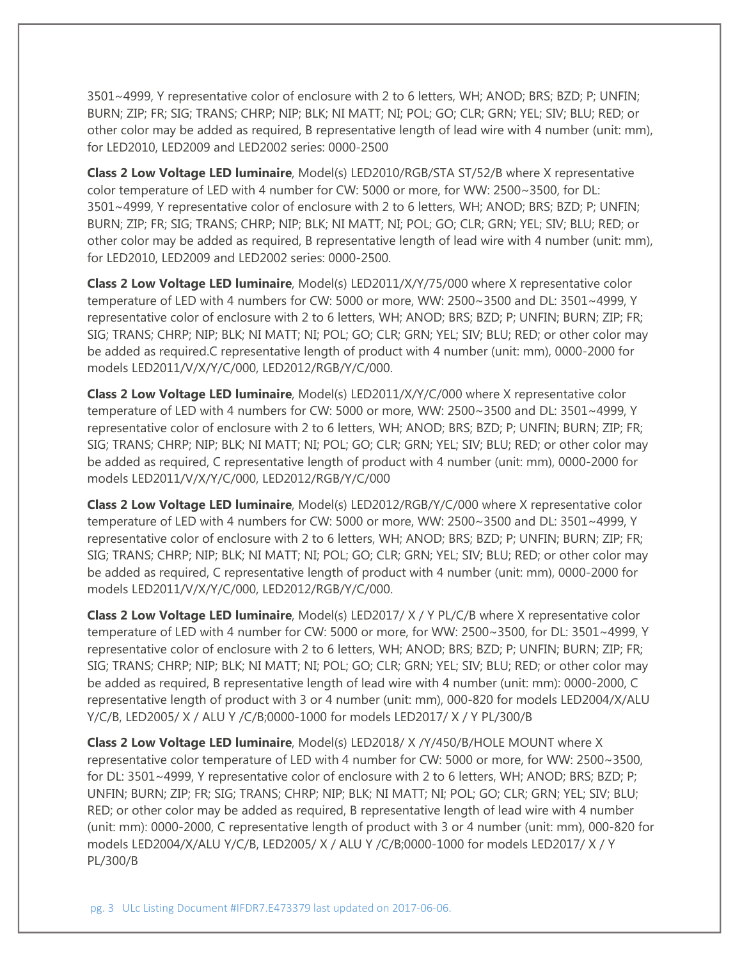3501~4999, Y representative color of enclosure with 2 to 6 letters, WH; ANOD; BRS; BZD; P; UNFIN; BURN; ZIP; FR; SIG; TRANS; CHRP; NIP; BLK; NI MATT; NI; POL; GO; CLR; GRN; YEL; SIV; BLU; RED; or other color may be added as required, B representative length of lead wire with 4 number (unit: mm), for LED2010, LED2009 and LED2002 series: 0000-2500

**Class 2 Low Voltage LED luminaire**, Model(s) LED2010/RGB/STA ST/52/B where X representative color temperature of LED with 4 number for CW: 5000 or more, for WW: 2500~3500, for DL: 3501~4999, Y representative color of enclosure with 2 to 6 letters, WH; ANOD; BRS; BZD; P; UNFIN; BURN; ZIP; FR; SIG; TRANS; CHRP; NIP; BLK; NI MATT; NI; POL; GO; CLR; GRN; YEL; SIV; BLU; RED; or other color may be added as required, B representative length of lead wire with 4 number (unit: mm), for LED2010, LED2009 and LED2002 series: 0000-2500.

**Class 2 Low Voltage LED luminaire**, Model(s) LED2011/X/Y/75/000 where X representative color temperature of LED with 4 numbers for CW: 5000 or more, WW: 2500~3500 and DL: 3501~4999, Y representative color of enclosure with 2 to 6 letters, WH; ANOD; BRS; BZD; P; UNFIN; BURN; ZIP; FR; SIG; TRANS; CHRP; NIP; BLK; NI MATT; NI; POL; GO; CLR; GRN; YEL; SIV; BLU; RED; or other color may be added as required.C representative length of product with 4 number (unit: mm), 0000-2000 for models LED2011/V/X/Y/C/000, LED2012/RGB/Y/C/000.

**Class 2 Low Voltage LED luminaire**, Model(s) LED2011/X/Y/C/000 where X representative color temperature of LED with 4 numbers for CW: 5000 or more, WW: 2500~3500 and DL: 3501~4999, Y representative color of enclosure with 2 to 6 letters, WH; ANOD; BRS; BZD; P; UNFIN; BURN; ZIP; FR; SIG; TRANS; CHRP; NIP; BLK; NI MATT; NI; POL; GO; CLR; GRN; YEL; SIV; BLU; RED; or other color may be added as required, C representative length of product with 4 number (unit: mm), 0000-2000 for models LED2011/V/X/Y/C/000, LED2012/RGB/Y/C/000

**Class 2 Low Voltage LED luminaire**, Model(s) LED2012/RGB/Y/C/000 where X representative color temperature of LED with 4 numbers for CW: 5000 or more, WW: 2500~3500 and DL: 3501~4999, Y representative color of enclosure with 2 to 6 letters, WH; ANOD; BRS; BZD; P; UNFIN; BURN; ZIP; FR; SIG; TRANS; CHRP; NIP; BLK; NI MATT; NI; POL; GO; CLR; GRN; YEL; SIV; BLU; RED; or other color may be added as required, C representative length of product with 4 number (unit: mm), 0000-2000 for models LED2011/V/X/Y/C/000, LED2012/RGB/Y/C/000.

**Class 2 Low Voltage LED luminaire**, Model(s) LED2017/ X / Y PL/C/B where X representative color temperature of LED with 4 number for CW: 5000 or more, for WW: 2500~3500, for DL: 3501~4999, Y representative color of enclosure with 2 to 6 letters, WH; ANOD; BRS; BZD; P; UNFIN; BURN; ZIP; FR; SIG; TRANS; CHRP; NIP; BLK; NI MATT; NI; POL; GO; CLR; GRN; YEL; SIV; BLU; RED; or other color may be added as required, B representative length of lead wire with 4 number (unit: mm): 0000-2000, C representative length of product with 3 or 4 number (unit: mm), 000-820 for models LED2004/X/ALU Y/C/B, LED2005/ X / ALU Y /C/B;0000-1000 for models LED2017/ X / Y PL/300/B

**Class 2 Low Voltage LED luminaire**, Model(s) LED2018/ X /Y/450/B/HOLE MOUNT where X representative color temperature of LED with 4 number for CW: 5000 or more, for WW: 2500~3500, for DL: 3501~4999, Y representative color of enclosure with 2 to 6 letters, WH; ANOD; BRS; BZD; P; UNFIN; BURN; ZIP; FR; SIG; TRANS; CHRP; NIP; BLK; NI MATT; NI; POL; GO; CLR; GRN; YEL; SIV; BLU; RED; or other color may be added as required, B representative length of lead wire with 4 number (unit: mm): 0000-2000, C representative length of product with 3 or 4 number (unit: mm), 000-820 for models LED2004/X/ALU Y/C/B, LED2005/ X / ALU Y /C/B;0000-1000 for models LED2017/ X / Y PL/300/B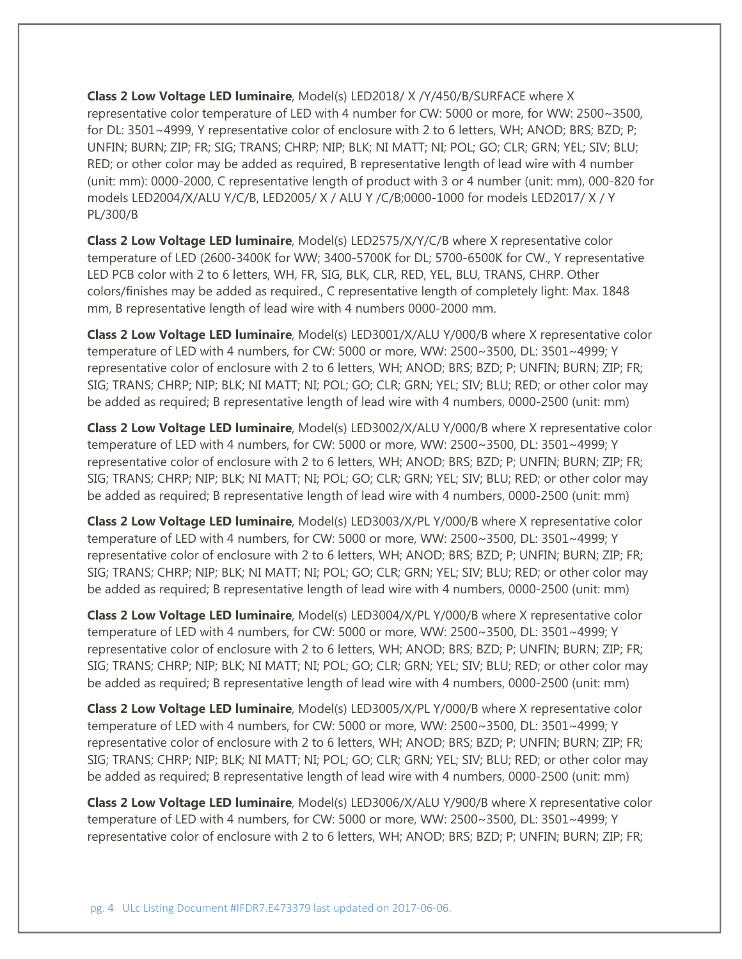**Class 2 Low Voltage LED luminaire**, Model(s) LED2018/ X /Y/450/B/SURFACE where X representative color temperature of LED with 4 number for CW: 5000 or more, for WW: 2500~3500, for DL: 3501~4999, Y representative color of enclosure with 2 to 6 letters, WH; ANOD; BRS; BZD; P; UNFIN; BURN; ZIP; FR; SIG; TRANS; CHRP; NIP; BLK; NI MATT; NI; POL; GO; CLR; GRN; YEL; SIV; BLU; RED; or other color may be added as required, B representative length of lead wire with 4 number (unit: mm): 0000-2000, C representative length of product with 3 or 4 number (unit: mm), 000-820 for models LED2004/X/ALU Y/C/B, LED2005/ X / ALU Y /C/B;0000-1000 for models LED2017/ X / Y PL/300/B

**Class 2 Low Voltage LED luminaire**, Model(s) LED2575/X/Y/C/B where X representative color temperature of LED (2600-3400K for WW; 3400-5700K for DL; 5700-6500K for CW., Y representative LED PCB color with 2 to 6 letters, WH, FR, SIG, BLK, CLR, RED, YEL, BLU, TRANS, CHRP. Other colors/finishes may be added as required., C representative length of completely light: Max. 1848 mm, B representative length of lead wire with 4 numbers 0000-2000 mm.

**Class 2 Low Voltage LED luminaire**, Model(s) LED3001/X/ALU Y/000/B where X representative color temperature of LED with 4 numbers, for CW: 5000 or more, WW: 2500~3500, DL: 3501~4999; Y representative color of enclosure with 2 to 6 letters, WH; ANOD; BRS; BZD; P; UNFIN; BURN; ZIP; FR; SIG; TRANS; CHRP; NIP; BLK; NI MATT; NI; POL; GO; CLR; GRN; YEL; SIV; BLU; RED; or other color may be added as required; B representative length of lead wire with 4 numbers, 0000-2500 (unit: mm)

**Class 2 Low Voltage LED luminaire**, Model(s) LED3002/X/ALU Y/000/B where X representative color temperature of LED with 4 numbers, for CW: 5000 or more, WW: 2500~3500, DL: 3501~4999; Y representative color of enclosure with 2 to 6 letters, WH; ANOD; BRS; BZD; P; UNFIN; BURN; ZIP; FR; SIG; TRANS; CHRP; NIP; BLK; NI MATT; NI; POL; GO; CLR; GRN; YEL; SIV; BLU; RED; or other color may be added as required; B representative length of lead wire with 4 numbers, 0000-2500 (unit: mm)

**Class 2 Low Voltage LED luminaire**, Model(s) LED3003/X/PL Y/000/B where X representative color temperature of LED with 4 numbers, for CW: 5000 or more, WW: 2500~3500, DL: 3501~4999; Y representative color of enclosure with 2 to 6 letters, WH; ANOD; BRS; BZD; P; UNFIN; BURN; ZIP; FR; SIG; TRANS; CHRP; NIP; BLK; NI MATT; NI; POL; GO; CLR; GRN; YEL; SIV; BLU; RED; or other color may be added as required; B representative length of lead wire with 4 numbers, 0000-2500 (unit: mm)

**Class 2 Low Voltage LED luminaire**, Model(s) LED3004/X/PL Y/000/B where X representative color temperature of LED with 4 numbers, for CW: 5000 or more, WW: 2500~3500, DL: 3501~4999; Y representative color of enclosure with 2 to 6 letters, WH; ANOD; BRS; BZD; P; UNFIN; BURN; ZIP; FR; SIG; TRANS; CHRP; NIP; BLK; NI MATT; NI; POL; GO; CLR; GRN; YEL; SIV; BLU; RED; or other color may be added as required; B representative length of lead wire with 4 numbers, 0000-2500 (unit: mm)

**Class 2 Low Voltage LED luminaire**, Model(s) LED3005/X/PL Y/000/B where X representative color temperature of LED with 4 numbers, for CW: 5000 or more, WW: 2500~3500, DL: 3501~4999; Y representative color of enclosure with 2 to 6 letters, WH; ANOD; BRS; BZD; P; UNFIN; BURN; ZIP; FR; SIG; TRANS; CHRP; NIP; BLK; NI MATT; NI; POL; GO; CLR; GRN; YEL; SIV; BLU; RED; or other color may be added as required; B representative length of lead wire with 4 numbers, 0000-2500 (unit: mm)

**Class 2 Low Voltage LED luminaire**, Model(s) LED3006/X/ALU Y/900/B where X representative color temperature of LED with 4 numbers, for CW: 5000 or more, WW: 2500~3500, DL: 3501~4999; Y representative color of enclosure with 2 to 6 letters, WH; ANOD; BRS; BZD; P; UNFIN; BURN; ZIP; FR;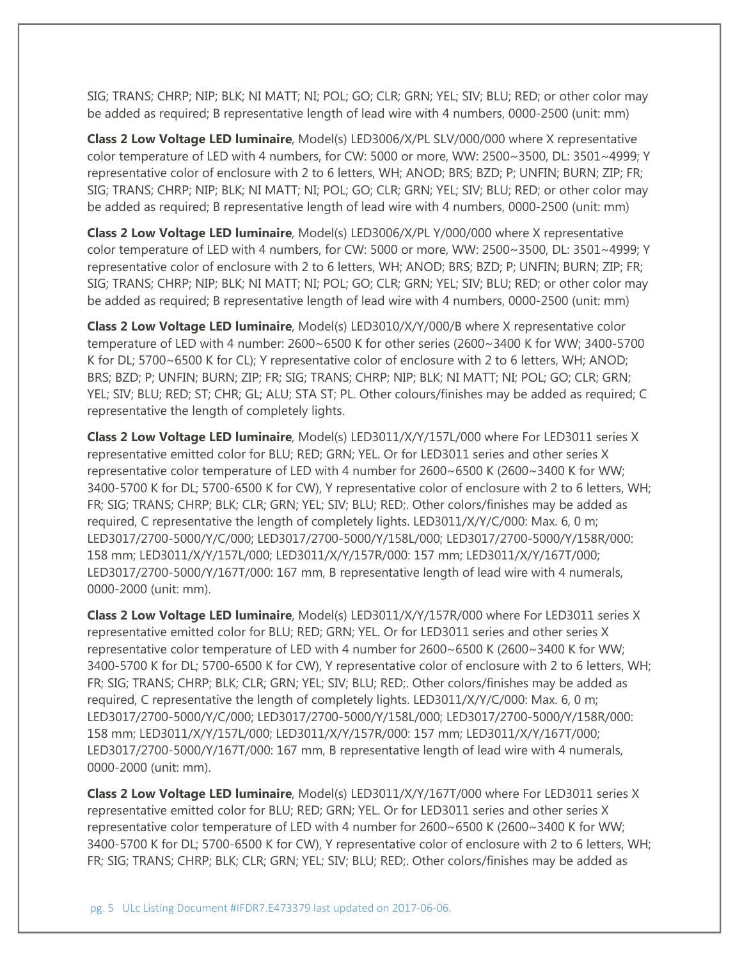SIG; TRANS; CHRP; NIP; BLK; NI MATT; NI; POL; GO; CLR; GRN; YEL; SIV; BLU; RED; or other color may be added as required; B representative length of lead wire with 4 numbers, 0000-2500 (unit: mm)

**Class 2 Low Voltage LED luminaire**, Model(s) LED3006/X/PL SLV/000/000 where X representative color temperature of LED with 4 numbers, for CW: 5000 or more, WW: 2500~3500, DL: 3501~4999; Y representative color of enclosure with 2 to 6 letters, WH; ANOD; BRS; BZD; P; UNFIN; BURN; ZIP; FR; SIG; TRANS; CHRP; NIP; BLK; NI MATT; NI; POL; GO; CLR; GRN; YEL; SIV; BLU; RED; or other color may be added as required; B representative length of lead wire with 4 numbers, 0000-2500 (unit: mm)

**Class 2 Low Voltage LED luminaire**, Model(s) LED3006/X/PL Y/000/000 where X representative color temperature of LED with 4 numbers, for CW: 5000 or more, WW: 2500~3500, DL: 3501~4999; Y representative color of enclosure with 2 to 6 letters, WH; ANOD; BRS; BZD; P; UNFIN; BURN; ZIP; FR; SIG; TRANS; CHRP; NIP; BLK; NI MATT; NI; POL; GO; CLR; GRN; YEL; SIV; BLU; RED; or other color may be added as required; B representative length of lead wire with 4 numbers, 0000-2500 (unit: mm)

**Class 2 Low Voltage LED luminaire**, Model(s) LED3010/X/Y/000/B where X representative color temperature of LED with 4 number: 2600~6500 K for other series (2600~3400 K for WW; 3400-5700 K for DL; 5700~6500 K for CL); Y representative color of enclosure with 2 to 6 letters, WH; ANOD; BRS; BZD; P; UNFIN; BURN; ZIP; FR; SIG; TRANS; CHRP; NIP; BLK; NI MATT; NI; POL; GO; CLR; GRN; YEL; SIV; BLU; RED; ST; CHR; GL; ALU; STA ST; PL. Other colours/finishes may be added as required; C representative the length of completely lights.

**Class 2 Low Voltage LED luminaire**, Model(s) LED3011/X/Y/157L/000 where For LED3011 series X representative emitted color for BLU; RED; GRN; YEL. Or for LED3011 series and other series X representative color temperature of LED with 4 number for 2600~6500 K (2600~3400 K for WW; 3400-5700 K for DL; 5700-6500 K for CW), Y representative color of enclosure with 2 to 6 letters, WH; FR; SIG; TRANS; CHRP; BLK; CLR; GRN; YEL; SIV; BLU; RED;. Other colors/finishes may be added as required, C representative the length of completely lights. LED3011/X/Y/C/000: Max. 6, 0 m; LED3017/2700-5000/Y/C/000; LED3017/2700-5000/Y/158L/000; LED3017/2700-5000/Y/158R/000: 158 mm; LED3011/X/Y/157L/000; LED3011/X/Y/157R/000: 157 mm; LED3011/X/Y/167T/000; LED3017/2700-5000/Y/167T/000: 167 mm, B representative length of lead wire with 4 numerals, 0000-2000 (unit: mm).

**Class 2 Low Voltage LED luminaire**, Model(s) LED3011/X/Y/157R/000 where For LED3011 series X representative emitted color for BLU; RED; GRN; YEL. Or for LED3011 series and other series X representative color temperature of LED with 4 number for 2600~6500 K (2600~3400 K for WW; 3400-5700 K for DL; 5700-6500 K for CW), Y representative color of enclosure with 2 to 6 letters, WH; FR; SIG; TRANS; CHRP; BLK; CLR; GRN; YEL; SIV; BLU; RED;. Other colors/finishes may be added as required, C representative the length of completely lights. LED3011/X/Y/C/000: Max. 6, 0 m; LED3017/2700-5000/Y/C/000; LED3017/2700-5000/Y/158L/000; LED3017/2700-5000/Y/158R/000: 158 mm; LED3011/X/Y/157L/000; LED3011/X/Y/157R/000: 157 mm; LED3011/X/Y/167T/000; LED3017/2700-5000/Y/167T/000: 167 mm, B representative length of lead wire with 4 numerals, 0000-2000 (unit: mm).

**Class 2 Low Voltage LED luminaire**, Model(s) LED3011/X/Y/167T/000 where For LED3011 series X representative emitted color for BLU; RED; GRN; YEL. Or for LED3011 series and other series X representative color temperature of LED with 4 number for 2600~6500 K (2600~3400 K for WW; 3400-5700 K for DL; 5700-6500 K for CW), Y representative color of enclosure with 2 to 6 letters, WH; FR; SIG; TRANS; CHRP; BLK; CLR; GRN; YEL; SIV; BLU; RED;. Other colors/finishes may be added as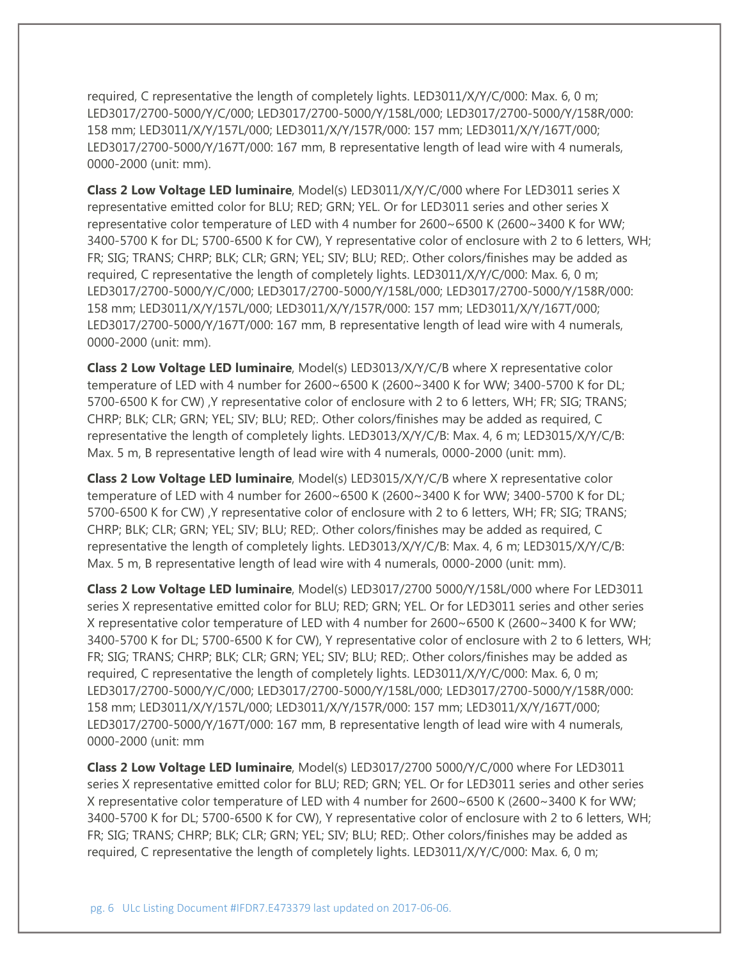required, C representative the length of completely lights. LED3011/X/Y/C/000: Max. 6, 0 m; LED3017/2700-5000/Y/C/000; LED3017/2700-5000/Y/158L/000; LED3017/2700-5000/Y/158R/000: 158 mm; LED3011/X/Y/157L/000; LED3011/X/Y/157R/000: 157 mm; LED3011/X/Y/167T/000; LED3017/2700-5000/Y/167T/000: 167 mm, B representative length of lead wire with 4 numerals, 0000-2000 (unit: mm).

**Class 2 Low Voltage LED luminaire**, Model(s) LED3011/X/Y/C/000 where For LED3011 series X representative emitted color for BLU; RED; GRN; YEL. Or for LED3011 series and other series X representative color temperature of LED with 4 number for 2600~6500 K (2600~3400 K for WW; 3400-5700 K for DL; 5700-6500 K for CW), Y representative color of enclosure with 2 to 6 letters, WH; FR; SIG; TRANS; CHRP; BLK; CLR; GRN; YEL; SIV; BLU; RED;. Other colors/finishes may be added as required, C representative the length of completely lights. LED3011/X/Y/C/000: Max. 6, 0 m; LED3017/2700-5000/Y/C/000; LED3017/2700-5000/Y/158L/000; LED3017/2700-5000/Y/158R/000: 158 mm; LED3011/X/Y/157L/000; LED3011/X/Y/157R/000: 157 mm; LED3011/X/Y/167T/000; LED3017/2700-5000/Y/167T/000: 167 mm, B representative length of lead wire with 4 numerals, 0000-2000 (unit: mm).

**Class 2 Low Voltage LED luminaire**, Model(s) LED3013/X/Y/C/B where X representative color temperature of LED with 4 number for 2600~6500 K (2600~3400 K for WW; 3400-5700 K for DL; 5700-6500 K for CW) ,Y representative color of enclosure with 2 to 6 letters, WH; FR; SIG; TRANS; CHRP; BLK; CLR; GRN; YEL; SIV; BLU; RED;. Other colors/finishes may be added as required, C representative the length of completely lights. LED3013/X/Y/C/B: Max. 4, 6 m; LED3015/X/Y/C/B: Max. 5 m, B representative length of lead wire with 4 numerals, 0000-2000 (unit: mm).

**Class 2 Low Voltage LED luminaire**, Model(s) LED3015/X/Y/C/B where X representative color temperature of LED with 4 number for 2600~6500 K (2600~3400 K for WW; 3400-5700 K for DL; 5700-6500 K for CW) ,Y representative color of enclosure with 2 to 6 letters, WH; FR; SIG; TRANS; CHRP; BLK; CLR; GRN; YEL; SIV; BLU; RED;. Other colors/finishes may be added as required, C representative the length of completely lights. LED3013/X/Y/C/B: Max. 4, 6 m; LED3015/X/Y/C/B: Max. 5 m, B representative length of lead wire with 4 numerals, 0000-2000 (unit: mm).

**Class 2 Low Voltage LED luminaire**, Model(s) LED3017/2700 5000/Y/158L/000 where For LED3011 series X representative emitted color for BLU; RED; GRN; YEL. Or for LED3011 series and other series X representative color temperature of LED with 4 number for 2600~6500 K (2600~3400 K for WW; 3400-5700 K for DL; 5700-6500 K for CW), Y representative color of enclosure with 2 to 6 letters, WH; FR; SIG; TRANS; CHRP; BLK; CLR; GRN; YEL; SIV; BLU; RED;. Other colors/finishes may be added as required, C representative the length of completely lights. LED3011/X/Y/C/000: Max. 6, 0 m; LED3017/2700-5000/Y/C/000; LED3017/2700-5000/Y/158L/000; LED3017/2700-5000/Y/158R/000: 158 mm; LED3011/X/Y/157L/000; LED3011/X/Y/157R/000: 157 mm; LED3011/X/Y/167T/000; LED3017/2700-5000/Y/167T/000: 167 mm, B representative length of lead wire with 4 numerals, 0000-2000 (unit: mm

**Class 2 Low Voltage LED luminaire**, Model(s) LED3017/2700 5000/Y/C/000 where For LED3011 series X representative emitted color for BLU; RED; GRN; YEL. Or for LED3011 series and other series X representative color temperature of LED with 4 number for 2600~6500 K (2600~3400 K for WW; 3400-5700 K for DL; 5700-6500 K for CW), Y representative color of enclosure with 2 to 6 letters, WH; FR; SIG; TRANS; CHRP; BLK; CLR; GRN; YEL; SIV; BLU; RED;. Other colors/finishes may be added as required, C representative the length of completely lights. LED3011/X/Y/C/000: Max. 6, 0 m;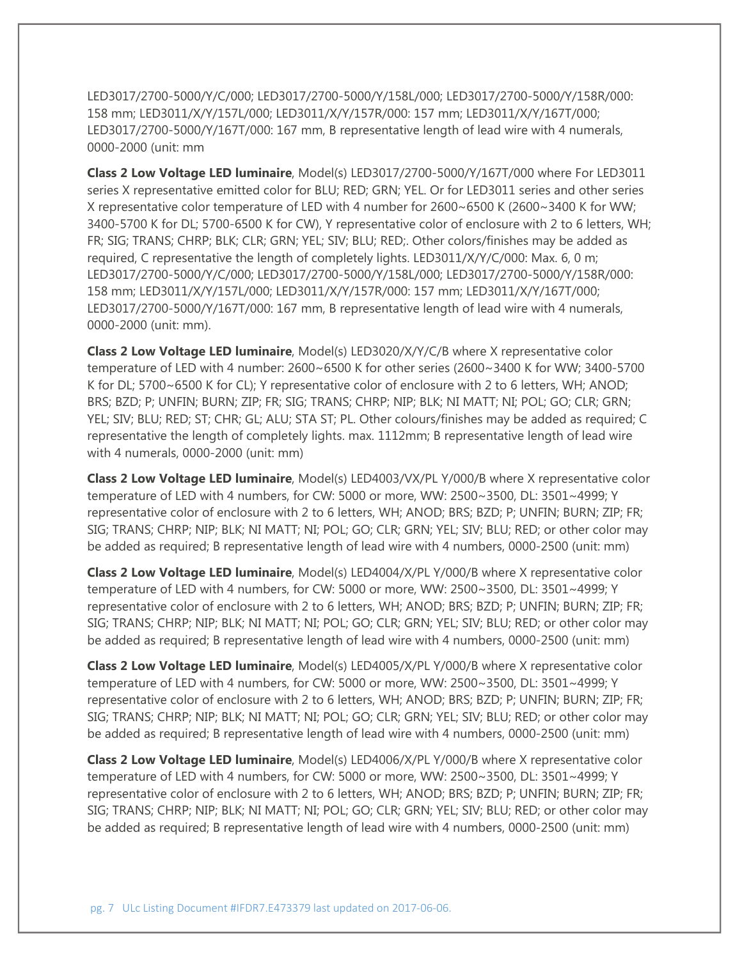LED3017/2700-5000/Y/C/000; LED3017/2700-5000/Y/158L/000; LED3017/2700-5000/Y/158R/000: 158 mm; LED3011/X/Y/157L/000; LED3011/X/Y/157R/000: 157 mm; LED3011/X/Y/167T/000; LED3017/2700-5000/Y/167T/000: 167 mm, B representative length of lead wire with 4 numerals, 0000-2000 (unit: mm

**Class 2 Low Voltage LED luminaire**, Model(s) LED3017/2700-5000/Y/167T/000 where For LED3011 series X representative emitted color for BLU; RED; GRN; YEL. Or for LED3011 series and other series X representative color temperature of LED with 4 number for 2600~6500 K (2600~3400 K for WW; 3400-5700 K for DL; 5700-6500 K for CW), Y representative color of enclosure with 2 to 6 letters, WH; FR; SIG; TRANS; CHRP; BLK; CLR; GRN; YEL; SIV; BLU; RED;. Other colors/finishes may be added as required, C representative the length of completely lights. LED3011/X/Y/C/000: Max. 6, 0 m; LED3017/2700-5000/Y/C/000; LED3017/2700-5000/Y/158L/000; LED3017/2700-5000/Y/158R/000: 158 mm; LED3011/X/Y/157L/000; LED3011/X/Y/157R/000: 157 mm; LED3011/X/Y/167T/000; LED3017/2700-5000/Y/167T/000: 167 mm, B representative length of lead wire with 4 numerals, 0000-2000 (unit: mm).

**Class 2 Low Voltage LED luminaire**, Model(s) LED3020/X/Y/C/B where X representative color temperature of LED with 4 number: 2600~6500 K for other series (2600~3400 K for WW; 3400-5700 K for DL; 5700~6500 K for CL); Y representative color of enclosure with 2 to 6 letters, WH; ANOD; BRS; BZD; P; UNFIN; BURN; ZIP; FR; SIG; TRANS; CHRP; NIP; BLK; NI MATT; NI; POL; GO; CLR; GRN; YEL; SIV; BLU; RED; ST; CHR; GL; ALU; STA ST; PL. Other colours/finishes may be added as required; C representative the length of completely lights. max. 1112mm; B representative length of lead wire with 4 numerals, 0000-2000 (unit: mm)

**Class 2 Low Voltage LED luminaire**, Model(s) LED4003/VX/PL Y/000/B where X representative color temperature of LED with 4 numbers, for CW: 5000 or more, WW: 2500~3500, DL: 3501~4999; Y representative color of enclosure with 2 to 6 letters, WH; ANOD; BRS; BZD; P; UNFIN; BURN; ZIP; FR; SIG; TRANS; CHRP; NIP; BLK; NI MATT; NI; POL; GO; CLR; GRN; YEL; SIV; BLU; RED; or other color may be added as required; B representative length of lead wire with 4 numbers, 0000-2500 (unit: mm)

**Class 2 Low Voltage LED luminaire**, Model(s) LED4004/X/PL Y/000/B where X representative color temperature of LED with 4 numbers, for CW: 5000 or more, WW: 2500~3500, DL: 3501~4999; Y representative color of enclosure with 2 to 6 letters, WH; ANOD; BRS; BZD; P; UNFIN; BURN; ZIP; FR; SIG; TRANS; CHRP; NIP; BLK; NI MATT; NI; POL; GO; CLR; GRN; YEL; SIV; BLU; RED; or other color may be added as required; B representative length of lead wire with 4 numbers, 0000-2500 (unit: mm)

**Class 2 Low Voltage LED luminaire**, Model(s) LED4005/X/PL Y/000/B where X representative color temperature of LED with 4 numbers, for CW: 5000 or more, WW: 2500~3500, DL: 3501~4999; Y representative color of enclosure with 2 to 6 letters, WH; ANOD; BRS; BZD; P; UNFIN; BURN; ZIP; FR; SIG; TRANS; CHRP; NIP; BLK; NI MATT; NI; POL; GO; CLR; GRN; YEL; SIV; BLU; RED; or other color may be added as required; B representative length of lead wire with 4 numbers, 0000-2500 (unit: mm)

**Class 2 Low Voltage LED luminaire**, Model(s) LED4006/X/PL Y/000/B where X representative color temperature of LED with 4 numbers, for CW: 5000 or more, WW: 2500~3500, DL: 3501~4999; Y representative color of enclosure with 2 to 6 letters, WH; ANOD; BRS; BZD; P; UNFIN; BURN; ZIP; FR; SIG; TRANS; CHRP; NIP; BLK; NI MATT; NI; POL; GO; CLR; GRN; YEL; SIV; BLU; RED; or other color may be added as required; B representative length of lead wire with 4 numbers, 0000-2500 (unit: mm)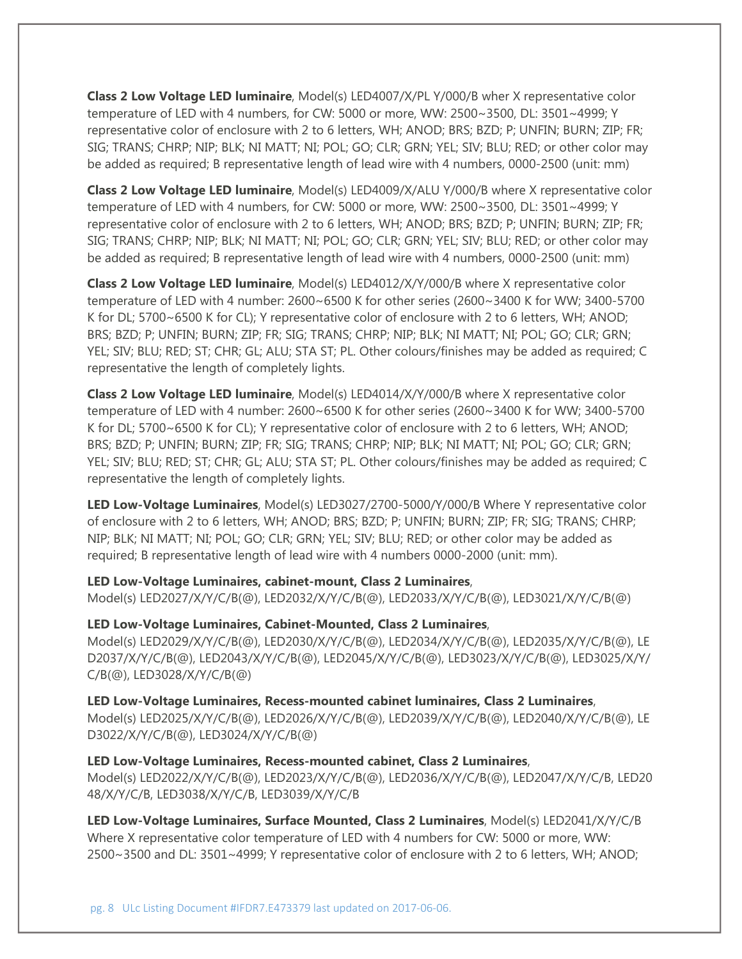**Class 2 Low Voltage LED luminaire**, Model(s) LED4007/X/PL Y/000/B wher X representative color temperature of LED with 4 numbers, for CW: 5000 or more, WW: 2500~3500, DL: 3501~4999; Y representative color of enclosure with 2 to 6 letters, WH; ANOD; BRS; BZD; P; UNFIN; BURN; ZIP; FR; SIG; TRANS; CHRP; NIP; BLK; NI MATT; NI; POL; GO; CLR; GRN; YEL; SIV; BLU; RED; or other color may be added as required; B representative length of lead wire with 4 numbers, 0000-2500 (unit: mm)

**Class 2 Low Voltage LED luminaire**, Model(s) LED4009/X/ALU Y/000/B where X representative color temperature of LED with 4 numbers, for CW: 5000 or more, WW: 2500~3500, DL: 3501~4999; Y representative color of enclosure with 2 to 6 letters, WH; ANOD; BRS; BZD; P; UNFIN; BURN; ZIP; FR; SIG; TRANS; CHRP; NIP; BLK; NI MATT; NI; POL; GO; CLR; GRN; YEL; SIV; BLU; RED; or other color may be added as required; B representative length of lead wire with 4 numbers, 0000-2500 (unit: mm)

**Class 2 Low Voltage LED luminaire**, Model(s) LED4012/X/Y/000/B where X representative color temperature of LED with 4 number: 2600~6500 K for other series (2600~3400 K for WW; 3400-5700 K for DL; 5700~6500 K for CL); Y representative color of enclosure with 2 to 6 letters, WH; ANOD; BRS; BZD; P; UNFIN; BURN; ZIP; FR; SIG; TRANS; CHRP; NIP; BLK; NI MATT; NI; POL; GO; CLR; GRN; YEL; SIV; BLU; RED; ST; CHR; GL; ALU; STA ST; PL. Other colours/finishes may be added as required; C representative the length of completely lights.

**Class 2 Low Voltage LED luminaire**, Model(s) LED4014/X/Y/000/B where X representative color temperature of LED with 4 number: 2600~6500 K for other series (2600~3400 K for WW; 3400-5700 K for DL; 5700~6500 K for CL); Y representative color of enclosure with 2 to 6 letters, WH; ANOD; BRS; BZD; P; UNFIN; BURN; ZIP; FR; SIG; TRANS; CHRP; NIP; BLK; NI MATT; NI; POL; GO; CLR; GRN; YEL; SIV; BLU; RED; ST; CHR; GL; ALU; STA ST; PL. Other colours/finishes may be added as required; C representative the length of completely lights.

**LED Low-Voltage Luminaires**, Model(s) LED3027/2700-5000/Y/000/B Where Y representative color of enclosure with 2 to 6 letters, WH; ANOD; BRS; BZD; P; UNFIN; BURN; ZIP; FR; SIG; TRANS; CHRP; NIP; BLK; NI MATT; NI; POL; GO; CLR; GRN; YEL; SIV; BLU; RED; or other color may be added as required; B representative length of lead wire with 4 numbers 0000-2000 (unit: mm).

**LED Low-Voltage Luminaires, cabinet-mount, Class 2 Luminaires**,

Model(s) LED2027/X/Y/C/B(@), LED2032/X/Y/C/B(@), LED2033/X/Y/C/B(@), LED3021/X/Y/C/B(@)

**LED Low-Voltage Luminaires, Cabinet-Mounted, Class 2 Luminaires**,

Model(s) LED2029/X/Y/C/B(@), LED2030/X/Y/C/B(@), LED2034/X/Y/C/B(@), LED2035/X/Y/C/B(@), LE D2037/X/Y/C/B(@), LED2043/X/Y/C/B(@), LED2045/X/Y/C/B(@), LED3023/X/Y/C/B(@), LED3025/X/Y/ C/B(@), LED3028/X/Y/C/B(@)

**LED Low-Voltage Luminaires, Recess-mounted cabinet luminaires, Class 2 Luminaires**, Model(s) LED2025/X/Y/C/B(@), LED2026/X/Y/C/B(@), LED2039/X/Y/C/B(@), LED2040/X/Y/C/B(@), LE D3022/X/Y/C/B(@), LED3024/X/Y/C/B(@)

### **LED Low-Voltage Luminaires, Recess-mounted cabinet, Class 2 Luminaires**,

Model(s) LED2022/X/Y/C/B(@), LED2023/X/Y/C/B(@), LED2036/X/Y/C/B(@), LED2047/X/Y/C/B, LED20 48/X/Y/C/B, LED3038/X/Y/C/B, LED3039/X/Y/C/B

**LED Low-Voltage Luminaires, Surface Mounted, Class 2 Luminaires**, Model(s) LED2041/X/Y/C/B Where X representative color temperature of LED with 4 numbers for CW: 5000 or more, WW: 2500~3500 and DL: 3501~4999; Y representative color of enclosure with 2 to 6 letters, WH; ANOD;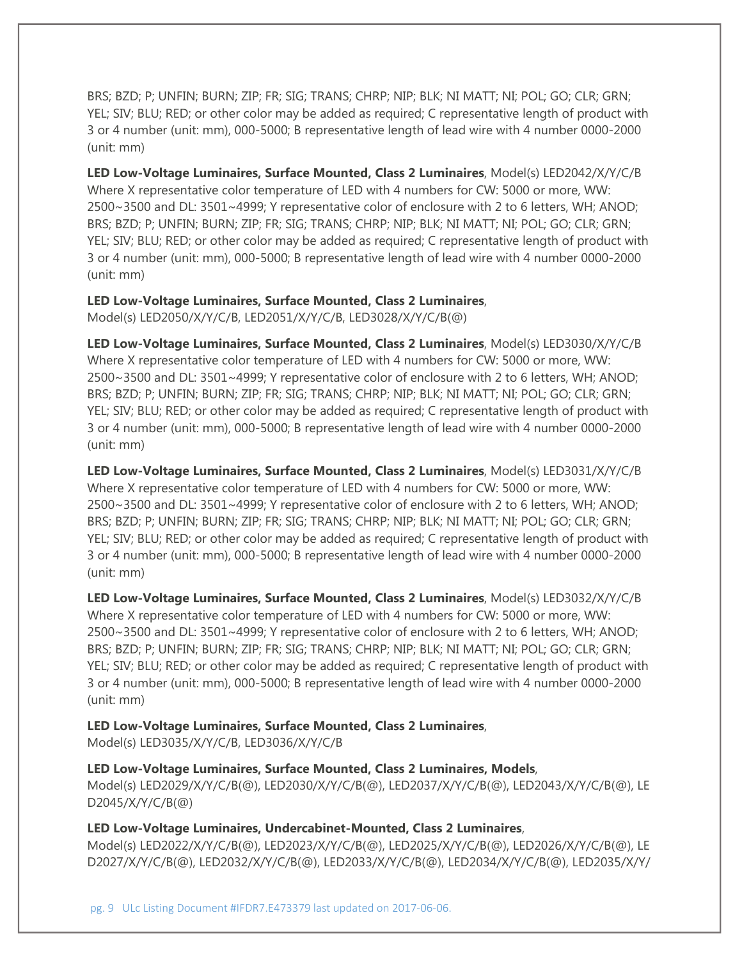BRS; BZD; P; UNFIN; BURN; ZIP; FR; SIG; TRANS; CHRP; NIP; BLK; NI MATT; NI; POL; GO; CLR; GRN; YEL; SIV; BLU; RED; or other color may be added as required; C representative length of product with 3 or 4 number (unit: mm), 000-5000; B representative length of lead wire with 4 number 0000-2000 (unit: mm)

**LED Low-Voltage Luminaires, Surface Mounted, Class 2 Luminaires**, Model(s) LED2042/X/Y/C/B Where X representative color temperature of LED with 4 numbers for CW: 5000 or more, WW: 2500~3500 and DL: 3501~4999; Y representative color of enclosure with 2 to 6 letters, WH; ANOD; BRS; BZD; P; UNFIN; BURN; ZIP; FR; SIG; TRANS; CHRP; NIP; BLK; NI MATT; NI; POL; GO; CLR; GRN; YEL; SIV; BLU; RED; or other color may be added as required; C representative length of product with 3 or 4 number (unit: mm), 000-5000; B representative length of lead wire with 4 number 0000-2000 (unit: mm)

## **LED Low-Voltage Luminaires, Surface Mounted, Class 2 Luminaires**,

Model(s) LED2050/X/Y/C/B, LED2051/X/Y/C/B, LED3028/X/Y/C/B(@)

**LED Low-Voltage Luminaires, Surface Mounted, Class 2 Luminaires**, Model(s) LED3030/X/Y/C/B Where X representative color temperature of LED with 4 numbers for CW: 5000 or more, WW: 2500~3500 and DL: 3501~4999; Y representative color of enclosure with 2 to 6 letters, WH; ANOD; BRS; BZD; P; UNFIN; BURN; ZIP; FR; SIG; TRANS; CHRP; NIP; BLK; NI MATT; NI; POL; GO; CLR; GRN; YEL; SIV; BLU; RED; or other color may be added as required; C representative length of product with 3 or 4 number (unit: mm), 000-5000; B representative length of lead wire with 4 number 0000-2000 (unit: mm)

**LED Low-Voltage Luminaires, Surface Mounted, Class 2 Luminaires**, Model(s) LED3031/X/Y/C/B Where X representative color temperature of LED with 4 numbers for CW: 5000 or more, WW: 2500~3500 and DL: 3501~4999; Y representative color of enclosure with 2 to 6 letters, WH; ANOD; BRS; BZD; P; UNFIN; BURN; ZIP; FR; SIG; TRANS; CHRP; NIP; BLK; NI MATT; NI; POL; GO; CLR; GRN; YEL; SIV; BLU; RED; or other color may be added as required; C representative length of product with 3 or 4 number (unit: mm), 000-5000; B representative length of lead wire with 4 number 0000-2000 (unit: mm)

**LED Low-Voltage Luminaires, Surface Mounted, Class 2 Luminaires**, Model(s) LED3032/X/Y/C/B Where X representative color temperature of LED with 4 numbers for CW: 5000 or more, WW: 2500~3500 and DL: 3501~4999; Y representative color of enclosure with 2 to 6 letters, WH; ANOD; BRS; BZD; P; UNFIN; BURN; ZIP; FR; SIG; TRANS; CHRP; NIP; BLK; NI MATT; NI; POL; GO; CLR; GRN; YEL; SIV; BLU; RED; or other color may be added as required; C representative length of product with 3 or 4 number (unit: mm), 000-5000; B representative length of lead wire with 4 number 0000-2000 (unit: mm)

### **LED Low-Voltage Luminaires, Surface Mounted, Class 2 Luminaires**,

Model(s) LED3035/X/Y/C/B, LED3036/X/Y/C/B

### **LED Low-Voltage Luminaires, Surface Mounted, Class 2 Luminaires, Models**,

Model(s) LED2029/X/Y/C/B(@), LED2030/X/Y/C/B(@), LED2037/X/Y/C/B(@), LED2043/X/Y/C/B(@), LE D2045/X/Y/C/B(@)

### **LED Low-Voltage Luminaires, Undercabinet-Mounted, Class 2 Luminaires**,

Model(s) LED2022/X/Y/C/B(@), LED2023/X/Y/C/B(@), LED2025/X/Y/C/B(@), LED2026/X/Y/C/B(@), LE D2027/X/Y/C/B(@), LED2032/X/Y/C/B(@), LED2033/X/Y/C/B(@), LED2034/X/Y/C/B(@), LED2035/X/Y/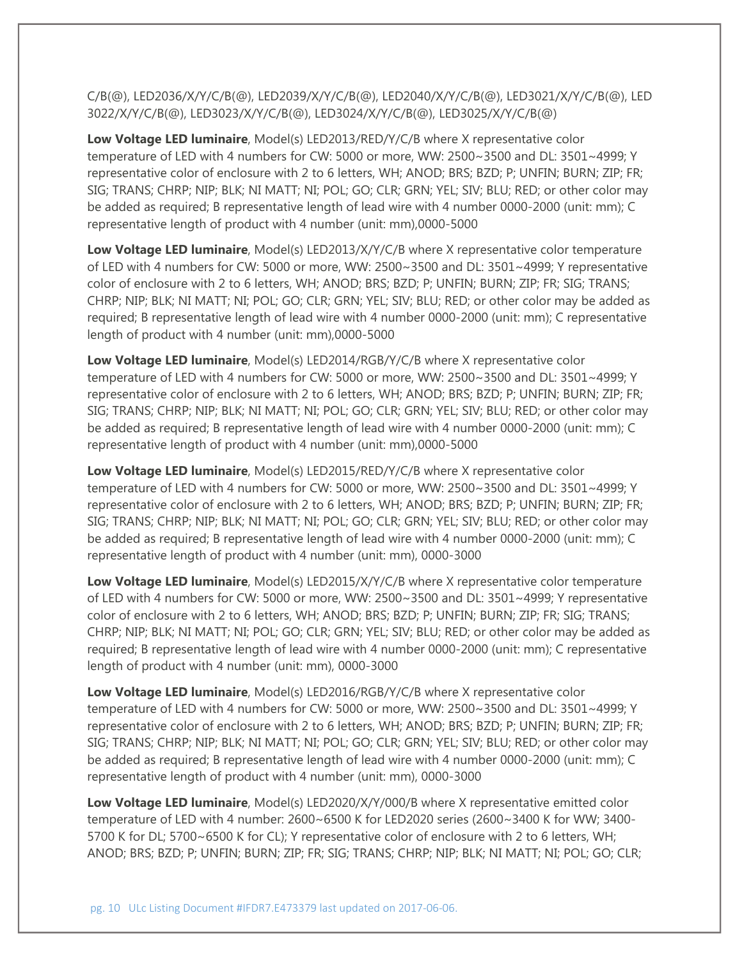C/B(@), LED2036/X/Y/C/B(@), LED2039/X/Y/C/B(@), LED2040/X/Y/C/B(@), LED3021/X/Y/C/B(@), LED 3022/X/Y/C/B(@), LED3023/X/Y/C/B(@), LED3024/X/Y/C/B(@), LED3025/X/Y/C/B(@)

**Low Voltage LED luminaire**, Model(s) LED2013/RED/Y/C/B where X representative color temperature of LED with 4 numbers for CW: 5000 or more, WW: 2500~3500 and DL: 3501~4999; Y representative color of enclosure with 2 to 6 letters, WH; ANOD; BRS; BZD; P; UNFIN; BURN; ZIP; FR; SIG; TRANS; CHRP; NIP; BLK; NI MATT; NI; POL; GO; CLR; GRN; YEL; SIV; BLU; RED; or other color may be added as required; B representative length of lead wire with 4 number 0000-2000 (unit: mm); C representative length of product with 4 number (unit: mm),0000-5000

**Low Voltage LED luminaire**, Model(s) LED2013/X/Y/C/B where X representative color temperature of LED with 4 numbers for CW: 5000 or more, WW: 2500~3500 and DL: 3501~4999; Y representative color of enclosure with 2 to 6 letters, WH; ANOD; BRS; BZD; P; UNFIN; BURN; ZIP; FR; SIG; TRANS; CHRP; NIP; BLK; NI MATT; NI; POL; GO; CLR; GRN; YEL; SIV; BLU; RED; or other color may be added as required; B representative length of lead wire with 4 number 0000-2000 (unit: mm); C representative length of product with 4 number (unit: mm),0000-5000

**Low Voltage LED luminaire**, Model(s) LED2014/RGB/Y/C/B where X representative color temperature of LED with 4 numbers for CW: 5000 or more, WW: 2500~3500 and DL: 3501~4999; Y representative color of enclosure with 2 to 6 letters, WH; ANOD; BRS; BZD; P; UNFIN; BURN; ZIP; FR; SIG; TRANS; CHRP; NIP; BLK; NI MATT; NI; POL; GO; CLR; GRN; YEL; SIV; BLU; RED; or other color may be added as required; B representative length of lead wire with 4 number 0000-2000 (unit: mm); C representative length of product with 4 number (unit: mm),0000-5000

**Low Voltage LED luminaire**, Model(s) LED2015/RED/Y/C/B where X representative color temperature of LED with 4 numbers for CW: 5000 or more, WW: 2500~3500 and DL: 3501~4999; Y representative color of enclosure with 2 to 6 letters, WH; ANOD; BRS; BZD; P; UNFIN; BURN; ZIP; FR; SIG; TRANS; CHRP; NIP; BLK; NI MATT; NI; POL; GO; CLR; GRN; YEL; SIV; BLU; RED; or other color may be added as required; B representative length of lead wire with 4 number 0000-2000 (unit: mm); C representative length of product with 4 number (unit: mm), 0000-3000

**Low Voltage LED luminaire**, Model(s) LED2015/X/Y/C/B where X representative color temperature of LED with 4 numbers for CW: 5000 or more, WW: 2500~3500 and DL: 3501~4999; Y representative color of enclosure with 2 to 6 letters, WH; ANOD; BRS; BZD; P; UNFIN; BURN; ZIP; FR; SIG; TRANS; CHRP; NIP; BLK; NI MATT; NI; POL; GO; CLR; GRN; YEL; SIV; BLU; RED; or other color may be added as required; B representative length of lead wire with 4 number 0000-2000 (unit: mm); C representative length of product with 4 number (unit: mm), 0000-3000

**Low Voltage LED luminaire**, Model(s) LED2016/RGB/Y/C/B where X representative color temperature of LED with 4 numbers for CW: 5000 or more, WW: 2500~3500 and DL: 3501~4999; Y representative color of enclosure with 2 to 6 letters, WH; ANOD; BRS; BZD; P; UNFIN; BURN; ZIP; FR; SIG; TRANS; CHRP; NIP; BLK; NI MATT; NI; POL; GO; CLR; GRN; YEL; SIV; BLU; RED; or other color may be added as required; B representative length of lead wire with 4 number 0000-2000 (unit: mm); C representative length of product with 4 number (unit: mm), 0000-3000

**Low Voltage LED luminaire**, Model(s) LED2020/X/Y/000/B where X representative emitted color temperature of LED with 4 number: 2600~6500 K for LED2020 series (2600~3400 K for WW; 3400- 5700 K for DL; 5700~6500 K for CL); Y representative color of enclosure with 2 to 6 letters, WH; ANOD; BRS; BZD; P; UNFIN; BURN; ZIP; FR; SIG; TRANS; CHRP; NIP; BLK; NI MATT; NI; POL; GO; CLR;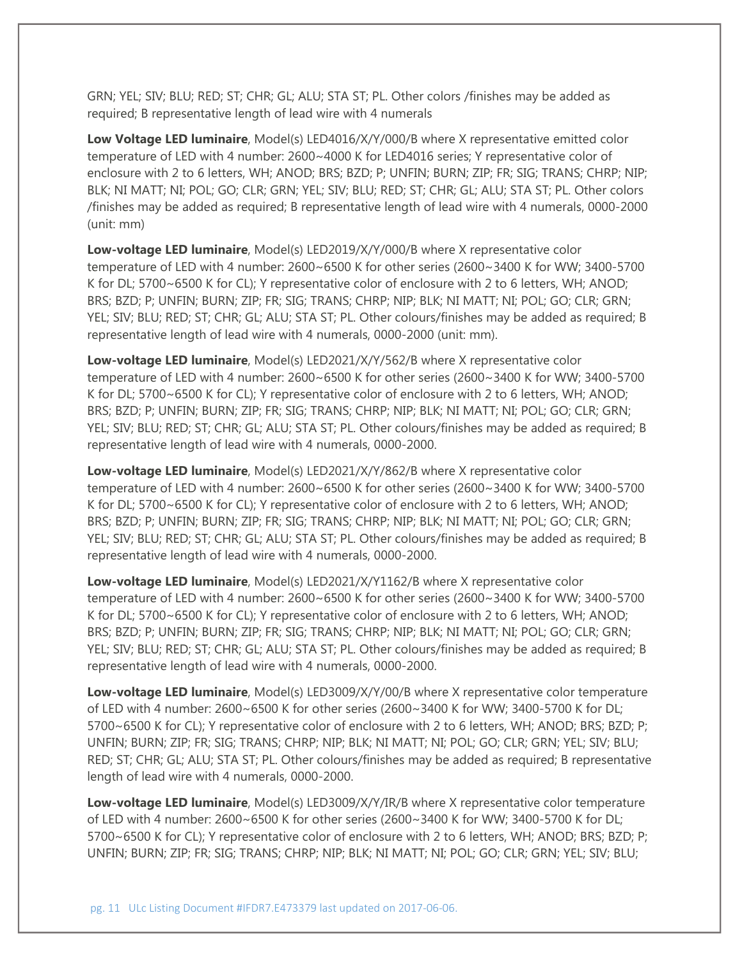GRN; YEL; SIV; BLU; RED; ST; CHR; GL; ALU; STA ST; PL. Other colors /finishes may be added as required; B representative length of lead wire with 4 numerals

Low Voltage LED luminaire, Model(s) LED4016/X/Y/000/B where X representative emitted color temperature of LED with 4 number: 2600~4000 K for LED4016 series; Y representative color of enclosure with 2 to 6 letters, WH; ANOD; BRS; BZD; P; UNFIN; BURN; ZIP; FR; SIG; TRANS; CHRP; NIP; BLK; NI MATT; NI; POL; GO; CLR; GRN; YEL; SIV; BLU; RED; ST; CHR; GL; ALU; STA ST; PL. Other colors /finishes may be added as required; B representative length of lead wire with 4 numerals, 0000-2000 (unit: mm)

**Low-voltage LED luminaire**, Model(s) LED2019/X/Y/000/B where X representative color temperature of LED with 4 number: 2600~6500 K for other series (2600~3400 K for WW; 3400-5700 K for DL; 5700~6500 K for CL); Y representative color of enclosure with 2 to 6 letters, WH; ANOD; BRS; BZD; P; UNFIN; BURN; ZIP; FR; SIG; TRANS; CHRP; NIP; BLK; NI MATT; NI; POL; GO; CLR; GRN; YEL; SIV; BLU; RED; ST; CHR; GL; ALU; STA ST; PL. Other colours/finishes may be added as required; B representative length of lead wire with 4 numerals, 0000-2000 (unit: mm).

**Low-voltage LED luminaire**, Model(s) LED2021/X/Y/562/B where X representative color temperature of LED with 4 number: 2600~6500 K for other series (2600~3400 K for WW; 3400-5700 K for DL; 5700~6500 K for CL); Y representative color of enclosure with 2 to 6 letters, WH; ANOD; BRS; BZD; P; UNFIN; BURN; ZIP; FR; SIG; TRANS; CHRP; NIP; BLK; NI MATT; NI; POL; GO; CLR; GRN; YEL; SIV; BLU; RED; ST; CHR; GL; ALU; STA ST; PL. Other colours/finishes may be added as required; B representative length of lead wire with 4 numerals, 0000-2000.

**Low-voltage LED luminaire**, Model(s) LED2021/X/Y/862/B where X representative color temperature of LED with 4 number: 2600~6500 K for other series (2600~3400 K for WW; 3400-5700 K for DL; 5700~6500 K for CL); Y representative color of enclosure with 2 to 6 letters, WH; ANOD; BRS; BZD; P; UNFIN; BURN; ZIP; FR; SIG; TRANS; CHRP; NIP; BLK; NI MATT; NI; POL; GO; CLR; GRN; YEL; SIV; BLU; RED; ST; CHR; GL; ALU; STA ST; PL. Other colours/finishes may be added as required; B representative length of lead wire with 4 numerals, 0000-2000.

**Low-voltage LED luminaire**, Model(s) LED2021/X/Y1162/B where X representative color temperature of LED with 4 number: 2600~6500 K for other series (2600~3400 K for WW; 3400-5700 K for DL; 5700~6500 K for CL); Y representative color of enclosure with 2 to 6 letters, WH; ANOD; BRS; BZD; P; UNFIN; BURN; ZIP; FR; SIG; TRANS; CHRP; NIP; BLK; NI MATT; NI; POL; GO; CLR; GRN; YEL; SIV; BLU; RED; ST; CHR; GL; ALU; STA ST; PL. Other colours/finishes may be added as required; B representative length of lead wire with 4 numerals, 0000-2000.

**Low-voltage LED luminaire**, Model(s) LED3009/X/Y/00/B where X representative color temperature of LED with 4 number: 2600~6500 K for other series (2600~3400 K for WW; 3400-5700 K for DL; 5700~6500 K for CL); Y representative color of enclosure with 2 to 6 letters, WH; ANOD; BRS; BZD; P; UNFIN; BURN; ZIP; FR; SIG; TRANS; CHRP; NIP; BLK; NI MATT; NI; POL; GO; CLR; GRN; YEL; SIV; BLU; RED; ST; CHR; GL; ALU; STA ST; PL. Other colours/finishes may be added as required; B representative length of lead wire with 4 numerals, 0000-2000.

**Low-voltage LED luminaire**, Model(s) LED3009/X/Y/IR/B where X representative color temperature of LED with 4 number: 2600~6500 K for other series (2600~3400 K for WW; 3400-5700 K for DL; 5700~6500 K for CL); Y representative color of enclosure with 2 to 6 letters, WH; ANOD; BRS; BZD; P; UNFIN; BURN; ZIP; FR; SIG; TRANS; CHRP; NIP; BLK; NI MATT; NI; POL; GO; CLR; GRN; YEL; SIV; BLU;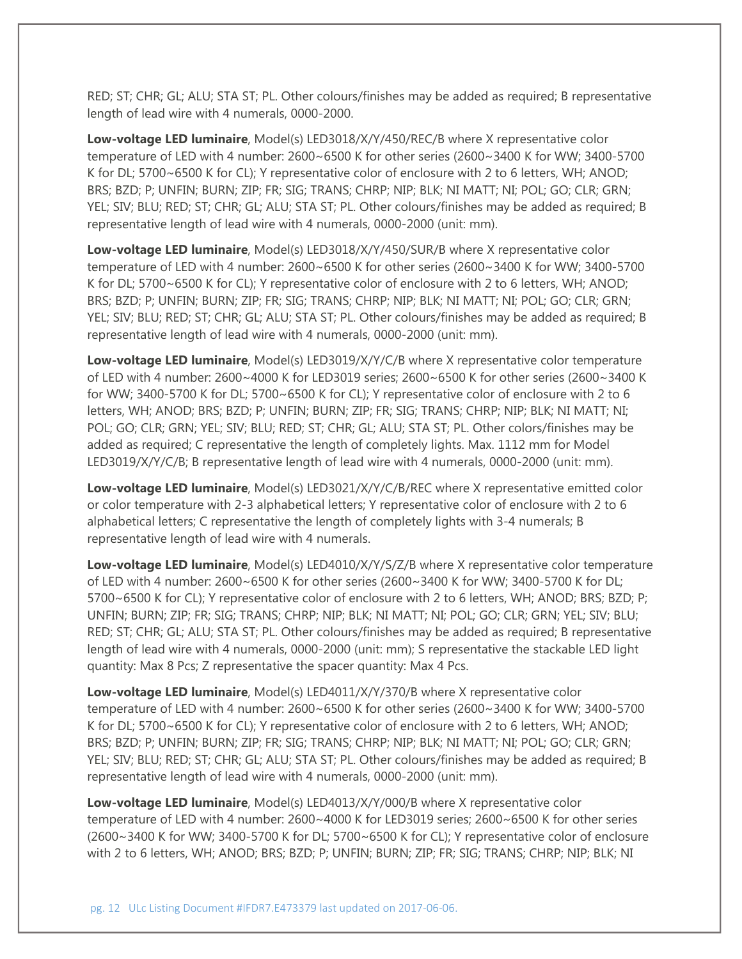RED; ST; CHR; GL; ALU; STA ST; PL. Other colours/finishes may be added as required; B representative length of lead wire with 4 numerals, 0000-2000.

**Low-voltage LED luminaire**, Model(s) LED3018/X/Y/450/REC/B where X representative color temperature of LED with 4 number: 2600~6500 K for other series (2600~3400 K for WW; 3400-5700 K for DL; 5700~6500 K for CL); Y representative color of enclosure with 2 to 6 letters, WH; ANOD; BRS; BZD; P; UNFIN; BURN; ZIP; FR; SIG; TRANS; CHRP; NIP; BLK; NI MATT; NI; POL; GO; CLR; GRN; YEL; SIV; BLU; RED; ST; CHR; GL; ALU; STA ST; PL. Other colours/finishes may be added as required; B representative length of lead wire with 4 numerals, 0000-2000 (unit: mm).

**Low-voltage LED luminaire**, Model(s) LED3018/X/Y/450/SUR/B where X representative color temperature of LED with 4 number: 2600~6500 K for other series (2600~3400 K for WW; 3400-5700 K for DL; 5700~6500 K for CL); Y representative color of enclosure with 2 to 6 letters, WH; ANOD; BRS; BZD; P; UNFIN; BURN; ZIP; FR; SIG; TRANS; CHRP; NIP; BLK; NI MATT; NI; POL; GO; CLR; GRN; YEL; SIV; BLU; RED; ST; CHR; GL; ALU; STA ST; PL. Other colours/finishes may be added as required; B representative length of lead wire with 4 numerals, 0000-2000 (unit: mm).

**Low-voltage LED luminaire**, Model(s) LED3019/X/Y/C/B where X representative color temperature of LED with 4 number: 2600~4000 K for LED3019 series; 2600~6500 K for other series (2600~3400 K for WW; 3400-5700 K for DL; 5700~6500 K for CL); Y representative color of enclosure with 2 to 6 letters, WH; ANOD; BRS; BZD; P; UNFIN; BURN; ZIP; FR; SIG; TRANS; CHRP; NIP; BLK; NI MATT; NI; POL; GO; CLR; GRN; YEL; SIV; BLU; RED; ST; CHR; GL; ALU; STA ST; PL. Other colors/finishes may be added as required; C representative the length of completely lights. Max. 1112 mm for Model LED3019/X/Y/C/B; B representative length of lead wire with 4 numerals, 0000-2000 (unit: mm).

**Low-voltage LED luminaire**, Model(s) LED3021/X/Y/C/B/REC where X representative emitted color or color temperature with 2-3 alphabetical letters; Y representative color of enclosure with 2 to 6 alphabetical letters; C representative the length of completely lights with 3-4 numerals; B representative length of lead wire with 4 numerals.

**Low-voltage LED luminaire**, Model(s) LED4010/X/Y/S/Z/B where X representative color temperature of LED with 4 number: 2600~6500 K for other series (2600~3400 K for WW; 3400-5700 K for DL; 5700~6500 K for CL); Y representative color of enclosure with 2 to 6 letters, WH; ANOD; BRS; BZD; P; UNFIN; BURN; ZIP; FR; SIG; TRANS; CHRP; NIP; BLK; NI MATT; NI; POL; GO; CLR; GRN; YEL; SIV; BLU; RED; ST; CHR; GL; ALU; STA ST; PL. Other colours/finishes may be added as required; B representative length of lead wire with 4 numerals, 0000-2000 (unit: mm); S representative the stackable LED light quantity: Max 8 Pcs; Z representative the spacer quantity: Max 4 Pcs.

**Low-voltage LED luminaire**, Model(s) LED4011/X/Y/370/B where X representative color temperature of LED with 4 number: 2600~6500 K for other series (2600~3400 K for WW; 3400-5700 K for DL; 5700~6500 K for CL); Y representative color of enclosure with 2 to 6 letters, WH; ANOD; BRS; BZD; P; UNFIN; BURN; ZIP; FR; SIG; TRANS; CHRP; NIP; BLK; NI MATT; NI; POL; GO; CLR; GRN; YEL; SIV; BLU; RED; ST; CHR; GL; ALU; STA ST; PL. Other colours/finishes may be added as required; B representative length of lead wire with 4 numerals, 0000-2000 (unit: mm).

**Low-voltage LED luminaire**, Model(s) LED4013/X/Y/000/B where X representative color temperature of LED with 4 number: 2600~4000 K for LED3019 series; 2600~6500 K for other series (2600~3400 K for WW; 3400-5700 K for DL; 5700~6500 K for CL); Y representative color of enclosure with 2 to 6 letters, WH; ANOD; BRS; BZD; P; UNFIN; BURN; ZIP; FR; SIG; TRANS; CHRP; NIP; BLK; NI